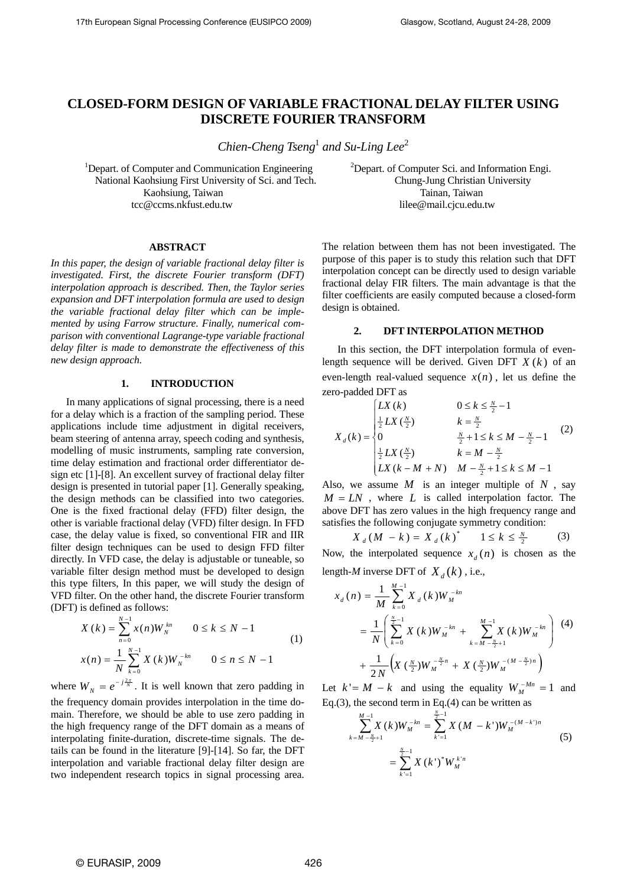# **CLOSED-FORM DESIGN OF VARIABLE FRACTIONAL DELAY FILTER USING DISCRETE FOURIER TRANSFORM**

*Chien-Cheng Tseng*<sup>1</sup> and Su-Ling Lee<sup>2</sup>

<sup>1</sup>Depart. of Computer and Communication Engineering National Kaohsiung First University of Sci. and Tech. Chung-Jung Christian University Kaohsiung, Taiwan Taiman, Taiwan Tainan, Taiwan tcc@ccms.nkfust.edu.tw lilee@mail.cjcu.edu.tw

<sup>2</sup>Depart. of Computer Sci. and Information Engi.

## **ABSTRACT**

*In this paper, the design of variable fractional delay filter is investigated. First, the discrete Fourier transform (DFT) interpolation approach is described. Then, the Taylor series expansion and DFT interpolation formula are used to design the variable fractional delay filter which can be implemented by using Farrow structure. Finally, numerical comparison with conventional Lagrange-type variable fractional delay filter is made to demonstrate the effectiveness of this new design approach.* 

#### **1. INTRODUCTION**

In many applications of signal processing, there is a need for a delay which is a fraction of the sampling period. These applications include time adjustment in digital receivers, beam steering of antenna array, speech coding and synthesis, modelling of music instruments, sampling rate conversion, time delay estimation and fractional order differentiator design etc [1]-[8]. An excellent survey of fractional delay filter design is presented in tutorial paper [1]. Generally speaking, the design methods can be classified into two categories. One is the fixed fractional delay (FFD) filter design, the other is variable fractional delay (VFD) filter design. In FFD case, the delay value is fixed, so conventional FIR and IIR filter design techniques can be used to design FFD filter directly. In VFD case, the delay is adjustable or tuneable, so variable filter design method must be developed to design this type filters, In this paper, we will study the design of VFD filter. On the other hand, the discrete Fourier transform (DFT) is defined as follows:

$$
X(k) = \sum_{n=0}^{N-1} x(n)W_N^{kn} \qquad 0 \le k \le N-1
$$
  

$$
x(n) = \frac{1}{N} \sum_{k=0}^{N-1} X(k)W_N^{-kn} \qquad 0 \le n \le N-1
$$
 (1)

where  $W_N = e^{-j\frac{2\pi}{N}}$ . It is well known that zero padding in the frequency domain provides interpolation in the time domain. Therefore, we should be able to use zero padding in the high frequency range of the DFT domain as a means of interpolating finite-duration, discrete-time signals. The details can be found in the literature [9]-[14]. So far, the DFT interpolation and variable fractional delay filter design are two independent research topics in signal processing area.

The relation between them has not been investigated. The purpose of this paper is to study this relation such that DFT interpolation concept can be directly used to design variable fractional delay FIR filters. The main advantage is that the filter coefficients are easily computed because a closed-form design is obtained.

# **2. DFT INTERPOLATION METHOD**

In this section, the DFT interpolation formula of evenlength sequence will be derived. Given DFT  $X(k)$  of an even-length real-valued sequence  $x(n)$ , let us define the zero-padded DFT as

$$
X_{d}(k) = \begin{cases} LX(k) & 0 \le k \le \frac{N}{2} - 1 \\ \frac{1}{2} LX(\frac{N}{2}) & k = \frac{N}{2} \\ 0 & \frac{N}{2} + 1 \le k \le M - \frac{N}{2} - 1 \\ \frac{1}{2} LX(\frac{N}{2}) & k = M - \frac{N}{2} \\ LX(k - M + N) & M - \frac{N}{2} + 1 \le k \le M - 1 \end{cases}
$$
 (2)

Also, we assume  $M$  is an integer multiple of  $N$ , say  $M = LN$ , where *L* is called interpolation factor. The above DFT has zero values in the high frequency range and satisfies the following conjugate symmetry condition:

$$
X_{d}(M - k) = X_{d}(k)^{*} \qquad 1 \le k \le \frac{N}{2} \tag{3}
$$

Now, the interpolated sequence  $x_d(n)$  is chosen as the length-*M* inverse DFT of  $X_d(k)$ , i.e.,

$$
x_{d}(n) = \frac{1}{M} \sum_{k=0}^{M-1} X_{d}(k) W_{M}^{-kn}
$$
  
= 
$$
\frac{1}{N} \left( \sum_{k=0}^{\frac{N}{2}-1} X(k) W_{M}^{-kn} + \sum_{k=M-\frac{N}{2}+1}^{M-1} X(k) W_{M}^{-kn} \right)
$$
 (4)  
+ 
$$
\frac{1}{2N} \left( X(\frac{N}{2}) W_{M}^{-\frac{N}{2}n} + X(\frac{N}{2}) W_{M}^{-(M-\frac{N}{2})n} \right)
$$

Let  $k = M - k$  and using the equality  $W_M^{-Mn} = 1$  and Eq.(3), the second term in Eq.(4) can be written as

$$
\sum_{k=M-\frac{N}{2}+1}^{M-1} X(k) W_M^{-kn} = \sum_{k'=1}^{\frac{N}{2}-1} X(M-k') W_M^{-(M-k')n}
$$
  
= 
$$
\sum_{k'=1}^{\frac{N}{2}-1} X(k')^* W_M^{k'n}
$$
 (5)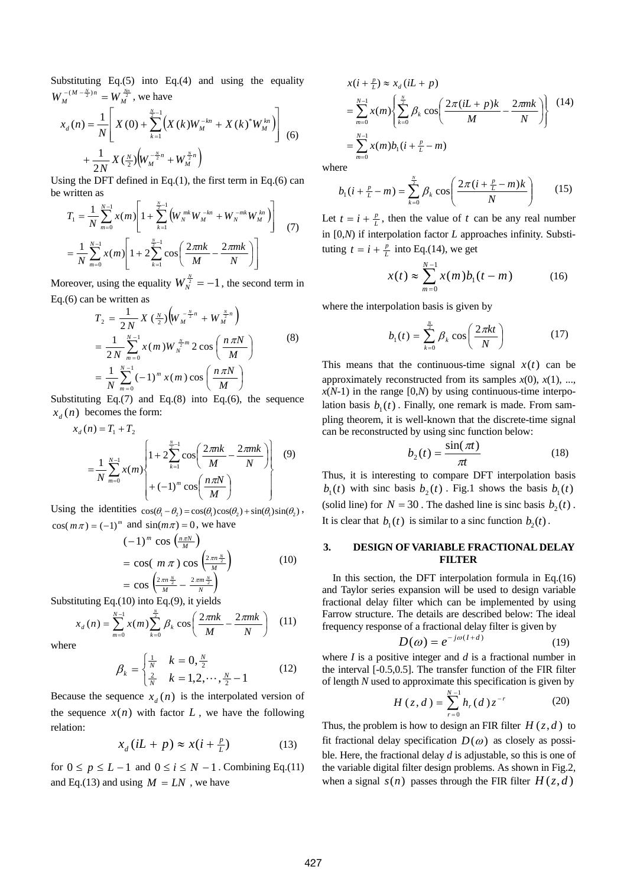Substituting Eq.(5) into Eq.(4) and using the equality  $W_M^{-(M-\frac{N}{2})n} = W_M^{\frac{Nn}{2}}$ , we have

$$
x_d(n) = \frac{1}{N} \left[ X(0) + \sum_{k=1}^{\frac{N}{2}-1} \left( X(k)W_M^{-kn} + X(k)^* W_M^{kn} \right) \right]
$$
  
+ 
$$
\frac{1}{2N} X(\frac{N}{2}) \left( W_M^{-\frac{N}{2}n} + W_M^{\frac{N}{2}n} \right)
$$
 (6)

Using the DFT defined in Eq. $(1)$ , the first term in Eq. $(6)$  can be written as

$$
T_1 = \frac{1}{N} \sum_{m=0}^{N-1} x(m) \left[ 1 + \sum_{k=1}^{\frac{N}{2}-1} \left( W_N^{mk} W_M^{-kn} + W_N^{-mk} W_M^{kn} \right) \right]
$$
  
= 
$$
\frac{1}{N} \sum_{m=0}^{N-1} x(m) \left[ 1 + 2 \sum_{k=1}^{\frac{N}{2}-1} \cos \left( \frac{2 \pi nk}{M} - \frac{2 \pi mk}{N} \right) \right]
$$
(7)

Moreover, using the equality  $W_N^{\frac{N}{2}} = -1$ , the second term in Eq.(6) can be written as

$$
T_2 = \frac{1}{2N} X \left(\frac{N}{2}\right) \left(W_M^{-\frac{N}{2}n} + W_M^{\frac{N}{2}n}\right)
$$
  
=  $\frac{1}{2N} \sum_{m=0}^{N-1} x(m) W_N^{\frac{N}{2}m} 2 \cos\left(\frac{n \pi N}{M}\right)$  (8)  
=  $\frac{1}{N} \sum_{m=0}^{N-1} (-1)^m x(m) \cos\left(\frac{n \pi N}{M}\right)$ 

Substituting Eq.(7) and Eq.(8) into Eq.(6), the sequence  $x_{\lambda}(n)$  becomes the form:

$$
x_{d}(n) = T_{1} + T_{2}
$$
  
=  $\frac{1}{N} \sum_{m=0}^{N-1} x(m) \left\{ 1 + 2 \sum_{k=1}^{\frac{N}{2}-1} \cos\left(\frac{2\pi nk}{M} - \frac{2\pi mk}{N}\right) \right\}$  (9)  
+  $(-1)^{m} \cos\left(\frac{n\pi N}{M}\right)$ 

Using the identities  $cos(\theta_1 - \theta_2) = cos(\theta_1)cos(\theta_2) + sin(\theta_1)sin(\theta_2)$ ,  $cos(m\pi) = (-1)^m$  and  $sin(m\pi) = 0$ , we have

$$
(-1)^{m} \cos\left(\frac{n\pi N}{M}\right)
$$
  
= cos( $m \pi$ ) cos $\left(\frac{2\pi n \frac{N}{2}}{M}\right)$  (10)  
= cos $\left(\frac{2\pi n \frac{N}{2}}{M} - \frac{2\pi m \frac{N}{2}}{N}\right)$ 

Substituting Eq.(10) into Eq.(9), it yields

$$
x_{d}(n) = \sum_{m=0}^{N-1} x(m) \sum_{k=0}^{\frac{N}{2}} \beta_{k} \cos \left( \frac{2\pi n k}{M} - \frac{2\pi m k}{N} \right) \quad (11)
$$

where

$$
\beta_k = \begin{cases} \frac{1}{N} & k = 0, \frac{N}{2} \\ \frac{2}{N} & k = 1, 2, \cdots, \frac{N}{2} - 1 \end{cases}
$$
(12)

Because the sequence  $x_a(n)$  is the interpolated version of the sequence  $x(n)$  with factor  $L$ , we have the following relation:

$$
x_d(iL + p) \approx x(i + \frac{p}{L})
$$
 (13)

for  $0 \le p \le L - 1$  and  $0 \le i \le N - 1$ . Combining Eq.(11) and Eq.(13) and using  $M = LN$ , we have

$$
x(i + \frac{p}{L}) \approx x_d (iL + p)
$$
  
=  $\sum_{m=0}^{N-1} x(m) \left\{ \sum_{k=0}^{\frac{N}{2}} \beta_k \cos \left( \frac{2\pi (iL + p)k}{M} - \frac{2\pi mk}{N} \right) \right\}$  (14)  
=  $\sum_{m=0}^{N-1} x(m) b_1 (i + \frac{p}{L} - m)$ 

where

$$
b_1(i + \frac{p}{L} - m) = \sum_{k=0}^{\frac{N}{2}} \beta_k \cos\left(\frac{2\pi(i + \frac{p}{L} - m)k}{N}\right) \tag{15}
$$

Let  $t = i + \frac{p}{L}$ , then the value of *t* can be any real number in [0,*N*) if interpolation factor *L* approaches infinity. Substituting  $t = i + \frac{p}{L}$  into Eq.(14), we get

$$
x(t) \approx \sum_{m=0}^{N-1} x(m)b_1(t - m)
$$
 (16)

where the interpolation basis is given by

$$
b_1(t) = \sum_{k=0}^{\frac{N}{2}} \beta_k \cos\left(\frac{2\pi kt}{N}\right) \tag{17}
$$

This means that the continuous-time signal  $x(t)$  can be approximately reconstructed from its samples  $x(0)$ ,  $x(1)$ , ...,  $x(N-1)$  in the range  $[0,N)$  by using continuous-time interpolation basis  $b_1(t)$ . Finally, one remark is made. From sampling theorem, it is well-known that the discrete-time signal can be reconstructed by using sinc function below:

$$
b_2(t) = \frac{\sin(\pi t)}{\pi t}
$$
 (18)

Thus, it is interesting to compare DFT interpolation basis  $b_1(t)$  with sinc basis  $b_2(t)$ . Fig.1 shows the basis  $b_1(t)$ (solid line) for  $N = 30$ . The dashed line is sinc basis  $b_2(t)$ . It is clear that  $b_1(t)$  is similar to a sinc function  $b_2(t)$ .

### **3. DESIGN OF VARIABLE FRACTIONAL DELAY FILTER**

In this section, the DFT interpolation formula in Eq.(16) and Taylor series expansion will be used to design variable fractional delay filter which can be implemented by using Farrow structure. The details are described below: The ideal frequency response of a fractional delay filter is given by

$$
D(\omega) = e^{-j\omega(I+d)} \tag{19}
$$

where *I* is a positive integer and *d* is a fractional number in the interval [-0.5,0.5]. The transfer function of the FIR filter of length *N* used to approximate this specification is given by

$$
H(z, d) = \sum_{r=0}^{N-1} h_r(d) z^{-r}
$$
 (20)

Thus, the problem is how to design an FIR filter  $H(z, d)$  to fit fractional delay specification  $D(\omega)$  as closely as possible. Here, the fractional delay *d* is adjustable, so this is one of the variable digital filter design problems. As shown in Fig.2, when a signal  $s(n)$  passes through the FIR filter  $H(z, d)$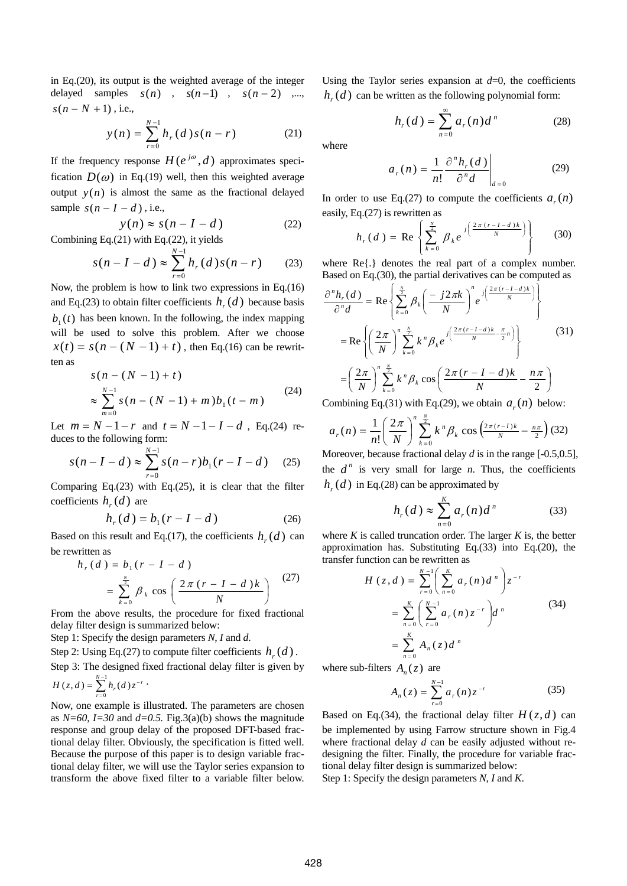in Eq.(20), its output is the weighted average of the integer delayed samples  $s(n)$ ,  $s(n-1)$ ,  $s(n-2)$ , ,...  $s(n - N + 1)$ , i.e.,

$$
y(n) = \sum_{r=0}^{N-1} h_r(d) s(n-r)
$$
 (21)

If the frequency response  $H(e^{j\omega}, d)$  approximates specification  $D(\omega)$  in Eq.(19) well, then this weighted average output  $y(n)$  is almost the same as the fractional delayed sample  $s(n - I - d)$ , i.e.,

$$
y(n) \approx s(n - I - d)
$$
 (22)

Combining Eq.(21) with Eq.(22), it yields  
\n
$$
s(n - I - d) \approx \sum_{r=0}^{N-1} h_r(d) s(n - r)
$$
\n(23)

Now, the problem is how to link two expressions in Eq.(16) and Eq.(23) to obtain filter coefficients  $h_r(d)$  because basis  $b<sub>1</sub>(t)$  has been known. In the following, the index mapping will be used to solve this problem. After we choose  $x(t) = s(n - (N - 1) + t)$ , then Eq.(16) can be rewritten as

$$
s(n - (N - 1) + t)
$$
  
\n
$$
\approx \sum_{m=0}^{N-1} s(n - (N - 1) + m) b_1(t - m)
$$
\n(24)

Let  $m = N - 1 - r$  and  $t = N - 1 - I - d$ , Eq.(24) reduces to the following form:

$$
s(n - I - d) \approx \sum_{r=0}^{N-1} s(n - r) b_1(r - I - d) \quad (25)
$$

Comparing Eq. $(23)$  with Eq. $(25)$ , it is clear that the filter coefficients  $h<sub>r</sub>(d)$  are

$$
h_r(d) = b_1(r - I - d)
$$
 (26)

Based on this result and Eq.(17), the coefficients  $h( d )$  can be rewritten as

$$
h_r(d) = b_1(r - I - d)
$$
  
= 
$$
\sum_{k=0}^{\frac{N}{2}} \beta_k \cos\left(\frac{2\pi (r - I - d)k}{N}\right)
$$
 (27)

From the above results, the procedure for fixed fractional delay filter design is summarized below:

Step 1: Specify the design parameters *N*, *I* and *d*.

Step 2: Using Eq.(27) to compute filter coefficients  $h<sub>r</sub>(d)$ .

Step 3: The designed fixed fractional delay filter is given by

$$
H(z,d) = \sum_{r=0}^{N-1} h_r(d) z^{-r} \cdot
$$

Now, one example is illustrated. The parameters are chosen as  $N=60$ ,  $I=30$  and  $d=0.5$ . Fig. 3(a)(b) shows the magnitude response and group delay of the proposed DFT-based fractional delay filter. Obviously, the specification is fitted well. Because the purpose of this paper is to design variable fractional delay filter, we will use the Taylor series expansion to transform the above fixed filter to a variable filter below.

Using the Taylor series expansion at  $d=0$ , the coefficients  $h<sub>r</sub>(d)$  can be written as the following polynomial form:

$$
h_r(d) = \sum_{n=0}^{\infty} a_r(n) d^n
$$
 (28)

where

$$
a_r(n) = \frac{1}{n!} \frac{\partial^n h_r(d)}{\partial^n d} \bigg|_{d=0}
$$
 (29)

In order to use Eq.(27) to compute the coefficients  $a_r(n)$ easily, Eq.(27) is rewritten as

$$
h_r(d) = \text{Re}\left\{\sum_{k=0}^{\frac{N}{2}} \beta_k e^{j\left(\frac{2\pi (r-1-d)k}{N}\right)}\right\}
$$
(30)

where Re{.} denotes the real part of a complex number. Based on Eq.(30), the partial derivatives can be computed as

$$
\frac{\partial^n h_r(d)}{\partial^n d} = \text{Re}\left\{\sum_{k=0}^{\frac{N}{2}} \beta_k \left(\frac{-j2\pi k}{N}\right)^n e^{j\left(\frac{2\pi (r-l-d)k}{N}\right)}\right\}
$$

$$
= \text{Re}\left\{\left(\frac{2\pi}{N}\right)^n \sum_{k=0}^{\frac{N}{2}} k^n \beta_k e^{j\left(\frac{2\pi (r-l-d)k}{N} - \frac{\pi}{2}n\right)}\right\}
$$
(31)
$$
= \left(\frac{2\pi}{N}\right)^n \sum_{k=0}^{\frac{N}{2}} k^n \beta_k \cos\left(\frac{2\pi (r-l-d)k}{N} - \frac{n\pi}{2}\right)
$$

Combining Eq.(31) with Eq.(29), we obtain  $a_r(n)$  below:

$$
a_r(n) = \frac{1}{n!} \left(\frac{2\pi}{N}\right)^n \sum_{k=0}^{\frac{N}{2}} k^n \beta_k \cos\left(\frac{2\pi (r-1)k}{N} - \frac{n\pi}{2}\right)
$$
(32)

Moreover, because fractional delay *d* is in the range [-0.5,0.5], the  $d^n$  is very small for large *n*. Thus, the coefficients  $h_r(d)$  in Eq.(28) can be approximated by

$$
h_r(d) \approx \sum_{n=0}^{K} a_r(n) d^n \tag{33}
$$

where  $K$  is called truncation order. The larger  $K$  is, the better approximation has. Substituting Eq.(33) into Eq.(20), the transfer function can be rewritten as

$$
H(z,d) = \sum_{r=0}^{N-1} \left( \sum_{n=0}^{K} a_r(n) d^n \right) z^{-r}
$$
  
= 
$$
\sum_{n=0}^{K} \left( \sum_{r=0}^{N-1} a_r(n) z^{-r} \right) d^n
$$
 (34)  
= 
$$
\sum_{n=0}^{K} A_n(z) d^n
$$

where sub-filters  $A_n(z)$  are

$$
A_n(z) = \sum_{r=0}^{N-1} a_r(n) z^{-r}
$$
 (35)

Based on Eq.(34), the fractional delay filter  $H(z, d)$  can be implemented by using Farrow structure shown in Fig.4 where fractional delay *d* can be easily adjusted without redesigning the filter. Finally, the procedure for variable fractional delay filter design is summarized below:

Step 1: Specify the design parameters *N*, *I* and *K*.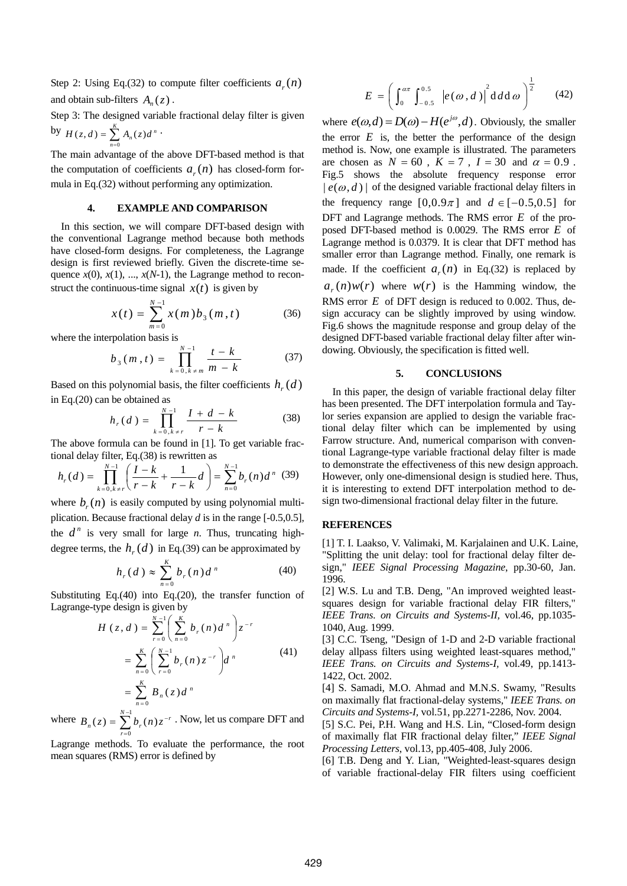Step 2: Using Eq.(32) to compute filter coefficients  $a_r(n)$ and obtain sub-filters  $A_{n}(z)$ .

Step 3: The designed variable fractional delay filter is given by  $H(z, d) = \sum_{n=0}^{K}$  $H(z,d) = \sum_{n=0} A_n(z)d^n$  $(z, d) = \sum_{n=1}^{R} A_n(z) d^n$ .

The main advantage of the above DFT-based method is that the computation of coefficients  $a_r(n)$  has closed-form formula in Eq.(32) without performing any optimization.

## **4. EXAMPLE AND COMPARISON**

In this section, we will compare DFT-based design with the conventional Lagrange method because both methods have closed-form designs. For completeness, the Lagrange design is first reviewed briefly. Given the discrete-time sequence  $x(0)$ ,  $x(1)$ , ...,  $x(N-1)$ , the Lagrange method to reconstruct the continuous-time signal  $x(t)$  is given by

$$
x(t) = \sum_{m=0}^{N-1} x(m) b_3(m, t)
$$
 (36)

where the interpolation basis is

$$
b_3(m,t) = \prod_{k=0, k \neq m}^{N-1} \frac{t-k}{m-k}
$$
 (37)

Based on this polynomial basis, the filter coefficients  $h_r(d)$ in Eq.(20) can be obtained as

$$
h_r(d) = \prod_{k=0, k \neq r}^{N-1} \frac{I + d - k}{r - k} \tag{38}
$$

The above formula can be found in [1]. To get variable fractional delay filter, Eq.(38) is rewritten as

$$
h_r(d) = \prod_{k=0, k \neq r}^{N-1} \left( \frac{I-k}{r-k} + \frac{1}{r-k} d \right) = \sum_{n=0}^{N-1} b_r(n) d^n \tag{39}
$$

where  $b_r(n)$  is easily computed by using polynomial multiplication. Because fractional delay *d* is in the range [-0.5,0.5], the  $d^n$  is very small for large *n*. Thus, truncating highdegree terms, the  $h(x)$  in Eq.(39) can be approximated by

$$
h_r(d) \approx \sum_{n=0}^{K} b_r(n) d^n
$$
 (40)

Substituting Eq.(40) into Eq.(20), the transfer function of Lagrange-type design is given by

$$
H(z, d) = \sum_{r=0}^{N-1} \left( \sum_{n=0}^{K} b_r(n) d^n \right) z^{-r}
$$
  
= 
$$
\sum_{n=0}^{K} \left( \sum_{r=0}^{N-1} b_r(n) z^{-r} \right) d^n
$$
  
= 
$$
\sum_{n=0}^{K} B_n(z) d^n
$$
 (41)

where  $B_n(z) = \sum_{n=1}^{N-1}$ =  $=\sum_{n=0}^{N-1}b_{n}(n)z^{-}$  $\mathbf{0}$  $(z) = \sum_{n=0}^{N-1} b_n(n)$ *r*  $B_n(z) = \sum b_r(n) z^{-r}$ . Now, let us compare DFT and

Lagrange methods. To evaluate the performance, the root mean squares (RMS) error is defined by

$$
E = \left(\int_0^{a\pi} \int_{-0.5}^{0.5} |e(\omega, d)|^2 d d\omega\right)^{\frac{1}{2}} \qquad (42)
$$

where  $e(\omega, d) = D(\omega) - H(e^{j\omega}, d)$ . Obviously, the smaller the error  $E$  is, the better the performance of the design method is. Now, one example is illustrated. The parameters are chosen as  $N = 60$ ,  $K = 7$ ,  $I = 30$  and  $\alpha = 0.9$ . Fig.5 shows the absolute frequency response error  $|e(\omega, d)|$  of the designed variable fractional delay filters in the frequency range  $[0,0.9\pi]$  and  $d \in [-0.5,0.5]$  for DFT and Lagrange methods. The RMS error *E* of the proposed DFT-based method is 0.0029. The RMS error *E* of Lagrange method is 0.0379. It is clear that DFT method has smaller error than Lagrange method. Finally, one remark is made. If the coefficient  $a_r(n)$  in Eq.(32) is replaced by  $a_r(n)w(r)$  where  $w(r)$  is the Hamming window, the RMS error *E* of DFT design is reduced to 0.002. Thus, design accuracy can be slightly improved by using window. Fig.6 shows the magnitude response and group delay of the designed DFT-based variable fractional delay filter after windowing. Obviously, the specification is fitted well.

#### **5. CONCLUSIONS**

In this paper, the design of variable fractional delay filter has been presented. The DFT interpolation formula and Taylor series expansion are applied to design the variable fractional delay filter which can be implemented by using Farrow structure. And, numerical comparison with conventional Lagrange-type variable fractional delay filter is made to demonstrate the effectiveness of this new design approach. However, only one-dimensional design is studied here. Thus, it is interesting to extend DFT interpolation method to design two-dimensional fractional delay filter in the future.

#### **REFERENCES**

[1] T. I. Laakso, V. Valimaki, M. Karjalainen and U.K. Laine, "Splitting the unit delay: tool for fractional delay filter design," *IEEE Signal Processing Magazine*, pp.30-60, Jan. 1996.

[2] W.S. Lu and T.B. Deng, "An improved weighted leastsquares design for variable fractional delay FIR filters," *IEEE Trans. on Circuits and Systems-II,* vol.46, pp.1035- 1040, Aug. 1999.

[3] C.C. Tseng, "Design of 1-D and 2-D variable fractional delay allpass filters using weighted least-squares method," *IEEE Trans. on Circuits and Systems-I,* vol.49, pp.1413- 1422, Oct. 2002.

[4] S. Samadi, M.O. Ahmad and M.N.S. Swamy, "Results on maximally flat fractional-delay systems," *IEEE Trans. on Circuits and Systems-I,* vol.51, pp.2271-2286, Nov. 2004.

[5] S.C. Pei, P.H. Wang and H.S. Lin, "Closed-form design of maximally flat FIR fractional delay filter," *IEEE Signal Processing Letters*, vol.13, pp.405-408, July 2006.

[6] T.B. Deng and Y. Lian, "Weighted-least-squares design of variable fractional-delay FIR filters using coefficient